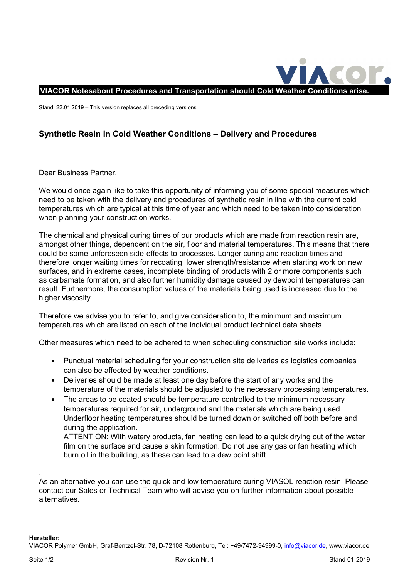

Stand: 22.01.2019 – This version replaces all preceding versions

## **Synthetic Resin in Cold Weather Conditions – Delivery and Procedures**

Dear Business Partner,

We would once again like to take this opportunity of informing you of some special measures which need to be taken with the delivery and procedures of synthetic resin in line with the current cold temperatures which are typical at this time of year and which need to be taken into consideration when planning your construction works.

The chemical and physical curing times of our products which are made from reaction resin are, amongst other things, dependent on the air, floor and material temperatures. This means that there could be some unforeseen side-effects to processes. Longer curing and reaction times and therefore longer waiting times for recoating, lower strength/resistance when starting work on new surfaces, and in extreme cases, incomplete binding of products with 2 or more components such as carbamate formation, and also further humidity damage caused by dewpoint temperatures can result. Furthermore, the consumption values of the materials being used is increased due to the higher viscosity.

Therefore we advise you to refer to, and give consideration to, the minimum and maximum temperatures which are listed on each of the individual product technical data sheets.

Other measures which need to be adhered to when scheduling construction site works include:

- Punctual material scheduling for your construction site deliveries as logistics companies can also be affected by weather conditions.
- Deliveries should be made at least one day before the start of any works and the temperature of the materials should be adjusted to the necessary processing temperatures.
- The areas to be coated should be temperature-controlled to the minimum necessary temperatures required for air, underground and the materials which are being used. Underfloor heating temperatures should be turned down or switched off both before and during the application.

ATTENTION: With watery products, fan heating can lead to a quick drying out of the water film on the surface and cause a skin formation. Do not use any gas or fan heating which burn oil in the building, as these can lead to a dew point shift.

. As an alternative you can use the quick and low temperature curing VIASOL reaction resin. Please contact our Sales or Technical Team who will advise you on further information about possible alternatives.